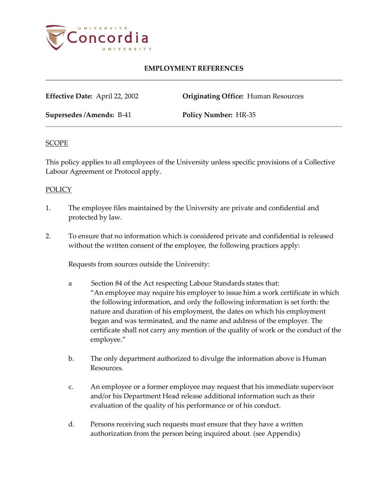

# **EMPLOYMENT REFERENCES**

**Effective Date:** April 22, 2002 **Originating Office:** Human Resources

**Supersedes /Amends:** B-41 **Policy Number:** HR-35

#### **SCOPE**

This policy applies to all employees of the University unless specific provisions of a Collective Labour Agreement or Protocol apply.

#### **POLICY**

- 1. The employee files maintained by the University are private and confidential and protected by law.
- 2. To ensure that no information which is considered private and confidential is released without the written consent of the employee, the following practices apply:

Requests from sources outside the University:

- a Section 84 of the Act respecting Labour Standards states that: "An employee may require his employer to issue him a work certificate in which the following information, and only the following information is set forth: the nature and duration of his employment, the dates on which his employment began and was terminated, and the name and address of the employer. The certificate shall not carry any mention of the quality of work or the conduct of the employee."
- b. The only department authorized to divulge the information above is Human Resources.
- c. An employee or a former employee may request that his immediate supervisor and/or his Department Head release additional information such as their evaluation of the quality of his performance or of his conduct.
- d. Persons receiving such requests must ensure that they have a written authorization from the person being inquired about. (see Appendix)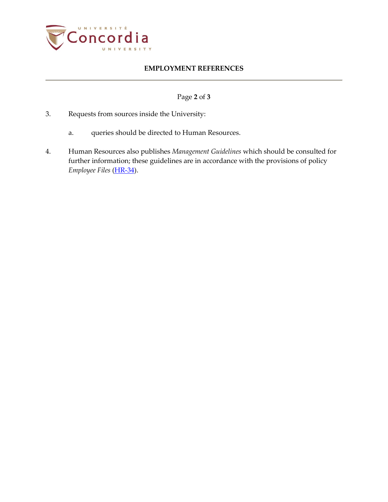

# **EMPLOYMENT REFERENCES**

### Page **2** of **3**

- 3. Requests from sources inside the University:
	- a. queries should be directed to Human Resources.
- 4. Human Resources also publishes *Management Guidelines* which should be consulted for further information; these guidelines are in accordance with the provisions of policy *Employee Files* [\(HR-34\)](http://www.concordia.ca/vpirsg/documents/policies/HR-34.pdf).